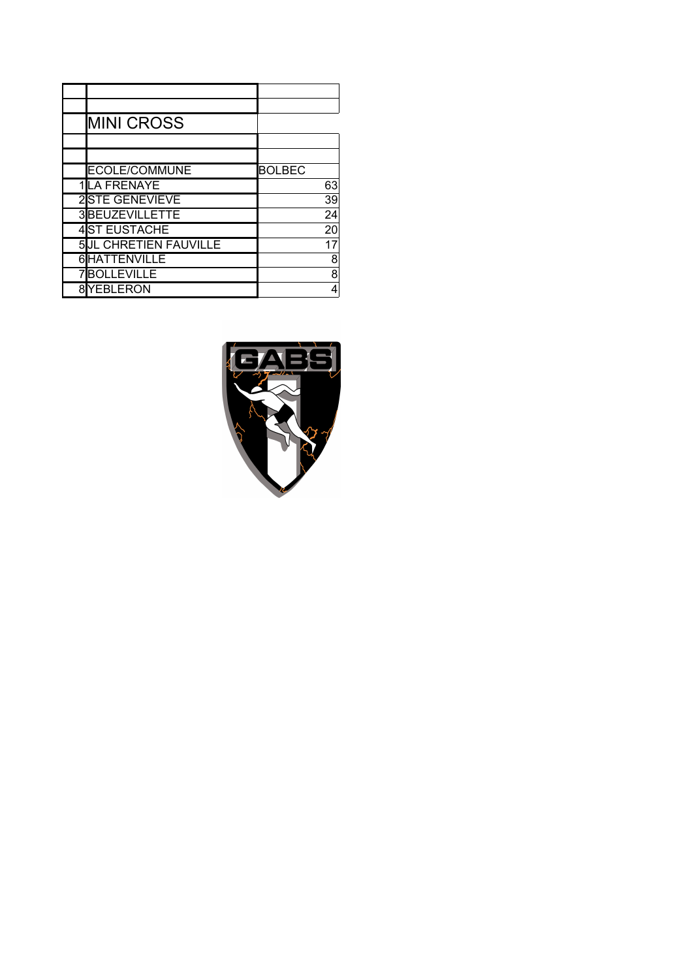| <b>MINI CROSS</b>            |               |
|------------------------------|---------------|
|                              |               |
|                              |               |
| <b>ECOLE/COMMUNE</b>         | <b>BOLBEC</b> |
| 1LA FRENAYE                  | 63            |
| 2STE GENEVIEVE               | 39            |
| 3BEUZEVILLETTE               | 24            |
| <b>4ST EUSTACHE</b>          | 20            |
| <b>5JL CHRETIEN FAUVILLE</b> | 17            |
| <b>HATTENVILLE</b>           | 8             |
| <b>BOLLEVILLE</b>            | 8             |
| YEBLERON                     | 4             |
|                              |               |

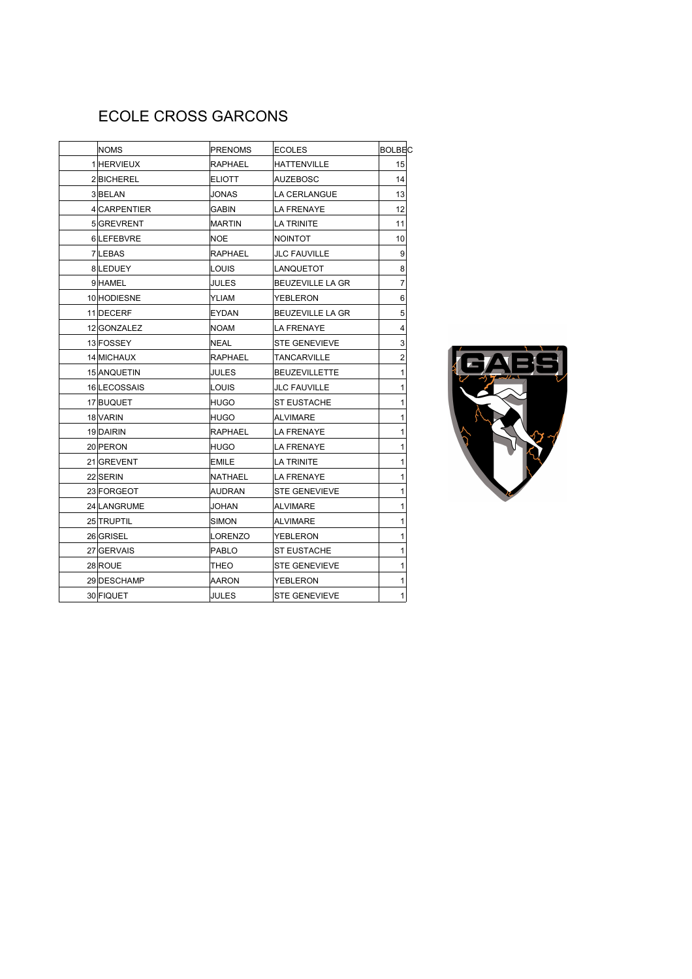# ECOLE CROSS GARCONS

| <b>NOMS</b>  | <b>PRENOMS</b> | ECOLES                  | <b>BOLBEC</b> |
|--------------|----------------|-------------------------|---------------|
| 1 HERVIEUX   | <b>RAPHAEL</b> | HATTENVILLE             | 15            |
| 2BICHEREL    | <b>ELIOTT</b>  | AUZEBOSC                | 14            |
| 3BELAN       | <b>JONAS</b>   | LA CERLANGUE            | 13            |
| 4 CARPENTIER | <b>GABIN</b>   | LA FRENAYE              | 12            |
| 5 GREVRENT   | <b>MARTIN</b>  | LA TRINITE              | 11            |
| 6LEFEBVRE    | <b>NOE</b>     | NOINTOT                 | 10            |
| 7 LEBAS      | <b>RAPHAEL</b> | <b>JLC FAUVILLE</b>     | 9             |
| 8LEDUEY      | LOUIS          | LANQUETOT               | 8             |
| 9HAMEL       | JULES          | <b>BEUZEVILLE LA GR</b> | 7             |
| 10 HODIESNE  | YLIAM          | YEBLERON                | 6             |
| 11 DECERF    | <b>EYDAN</b>   | BEUZEVILLE LA GR        | 5             |
| 12 GONZALEZ  | NOAM           | LA FRENAYE              | 4             |
| 13 FOSSEY    | <b>NEAL</b>    | <b>STE GENEVIEVE</b>    | 3             |
| 14 MICHAUX   | <b>RAPHAEL</b> | TANCARVILLE             | 2             |
| 15 ANQUETIN  | JULES          | <b>BEUZEVILLETTE</b>    | 1             |
| 16 LECOSSAIS | LOUIS          | <b>JLC FAUVILLE</b>     | 1             |
| 17 BUQUET    | <b>HUGO</b>    | ST EUSTACHE             | 1             |
| 18 VARIN     | <b>HUGO</b>    | ALVIMARE                | 1             |
| 19 DAIRIN    | <b>RAPHAEL</b> | LA FRENAYE              | 1             |
| 20 PERON     | <b>HUGO</b>    | LA FRENAYE              | 1             |
| 21 GREVENT   | <b>EMILE</b>   | <b>LA TRINITE</b>       | 1             |
| 22 SERIN     | <b>NATHAEL</b> | LA FRENAYE              | 1             |
| 23 FORGEOT   | AUDRAN         | STE GENEVIEVE           | 1             |
| 24 LANGRUME  | JOHAN          | ALVIMARE                | 1             |
| 25 TRUPTIL   | <b>SIMON</b>   | ALVIMARE                | 1             |
| 26 GRISEL    | LORENZO        | YEBLERON                | 1             |
| 27 GERVAIS   | <b>PABLO</b>   | <b>ST EUSTACHE</b>      | 1             |
| 28 ROUE      | THEO           | <b>STE GENEVIEVE</b>    | 1             |
| 29 DESCHAMP  | AARON          | YEBLERON                | 1             |
| 30 FIQUET    | JULES          | <b>STE GENEVIEVE</b>    | 1             |

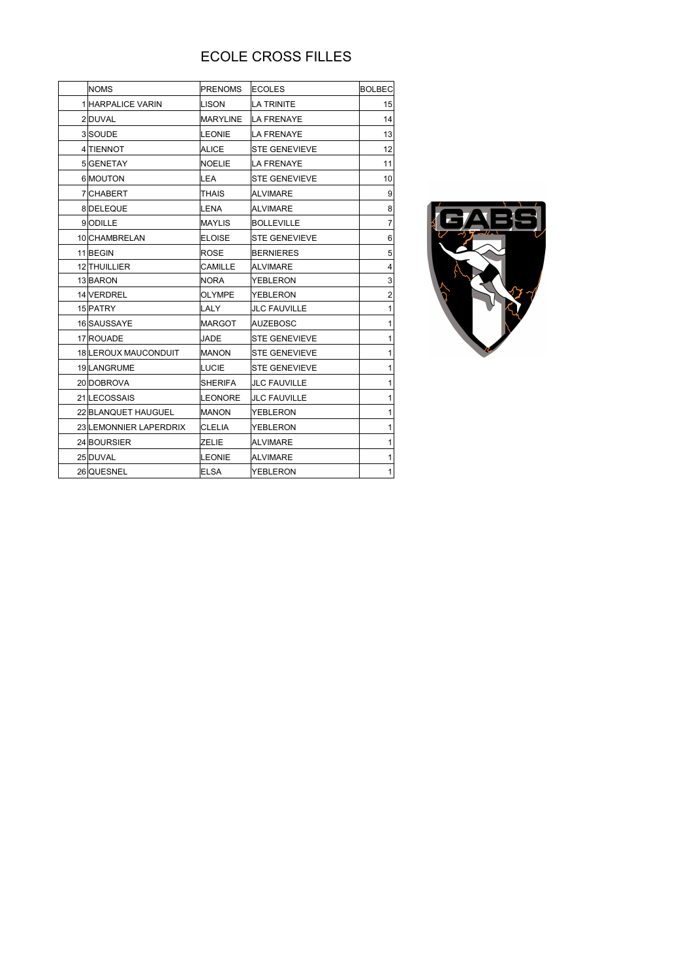## ECOLE CROSS FILLES

|  | <b>NOMS</b>                 | <b>PRENOMS</b>  | <b>ECOLES</b>        | <b>BOLBEC</b> |
|--|-----------------------------|-----------------|----------------------|---------------|
|  | 1 HARPALICE VARIN           | <b>LISON</b>    | <b>LA TRINITE</b>    | 15            |
|  | 2DUVAL                      | <b>MARYLINE</b> | <b>LA FRENAYE</b>    | 14            |
|  | 3 SOUDE                     | LEONIE          | <b>LA FRENAYE</b>    | 13            |
|  | 4 TIENNOT                   | <b>ALICE</b>    | <b>STE GENEVIEVE</b> | 12            |
|  | 5 GENETAY                   | <b>NOELIE</b>   | <b>LA FRENAYE</b>    | 11            |
|  | 6 MOUTON                    | <b>LEA</b>      | <b>STE GENEVIEVE</b> | 10            |
|  | 7 CHABERT                   | THAIS           | <b>ALVIMARE</b>      | 9             |
|  | 8DELEQUE                    | LENA            | <b>ALVIMARE</b>      | 8             |
|  | 9ODILLE                     | <b>MAYLIS</b>   | <b>BOLLEVILLE</b>    | 7             |
|  | 10 CHAMBRELAN               | <b>ELOISE</b>   | <b>STE GENEVIEVE</b> | 6             |
|  | 11BEGIN                     | <b>ROSE</b>     | <b>BERNIERES</b>     | 5             |
|  | 12 THUILLIER                | <b>CAMILLE</b>  | <b>ALVIMARE</b>      | 4             |
|  | 13 BARON                    | <b>NORA</b>     | <b>YEBLERON</b>      | 3             |
|  | 14 VERDREL                  | <b>OLYMPE</b>   | <b>YEBLERON</b>      | 2             |
|  | 15 PATRY                    | LALY            | <b>JLC FAUVILLE</b>  | 1             |
|  | 16 SAUSSAYE                 | <b>MARGOT</b>   | <b>AUZEBOSC</b>      | 1             |
|  | 17 ROUADE                   | JADE            | <b>STE GENEVIEVE</b> | 1             |
|  | <b>18 LEROUX MAUCONDUIT</b> | <b>MANON</b>    | <b>STE GENEVIEVE</b> | 1             |
|  | 19 LANGRUME                 | LUCIE           | <b>STE GENEVIEVE</b> | 1             |
|  | 20 DOBROVA                  | <b>SHERIFA</b>  | <b>JLC FAUVILLE</b>  | 1             |
|  | 21 LECOSSAIS                | <b>LEONORE</b>  | <b>JLC FAUVILLE</b>  | 1             |
|  | 22 BLANQUET HAUGUEL         | <b>MANON</b>    | <b>YEBLERON</b>      | 1             |
|  | 23 LEMONNIER LAPERDRIX      | <b>CLELIA</b>   | <b>YEBLERON</b>      | 1             |
|  | 24 BOURSIER                 | <b>ZELIE</b>    | <b>ALVIMARE</b>      | 1             |
|  | 25 DUVAL                    | <b>LEONIE</b>   | <b>ALVIMARE</b>      | 1             |
|  | 26 QUESNEL                  | <b>ELSA</b>     | YEBLERON             | 1             |
|  |                             |                 |                      |               |

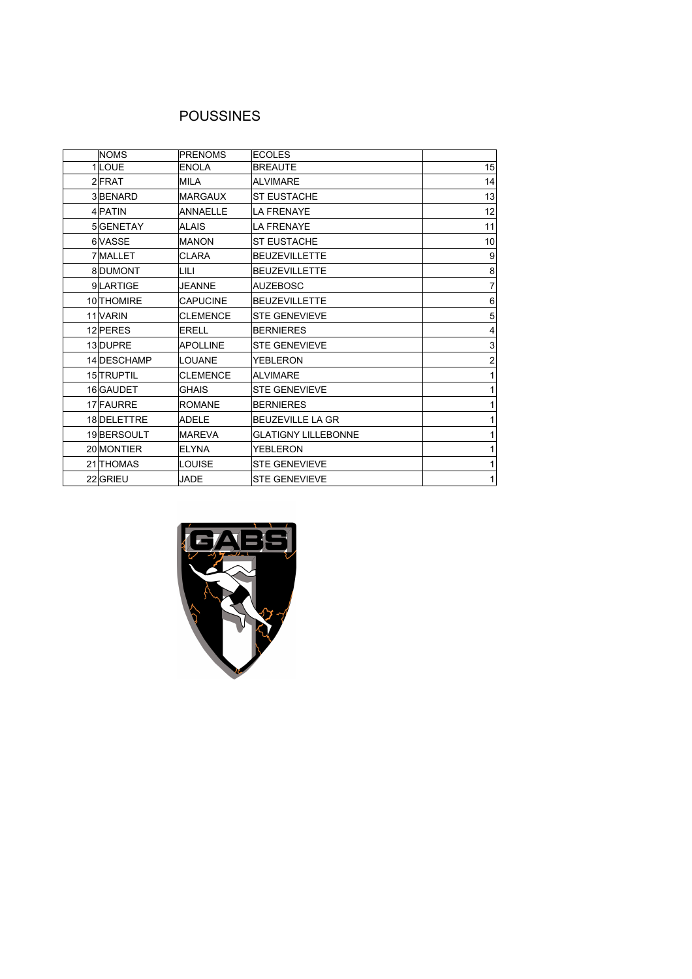### POUSSINES

| <b>NOMS</b> | <b>PRENOMS</b>  | <b>ECOLES</b>              |    |
|-------------|-----------------|----------------------------|----|
| $1$ LOUE    | <b>ENOLA</b>    | <b>BREAUTE</b>             | 15 |
| 2 FRAT      | <b>MILA</b>     | <b>ALVIMARE</b>            | 14 |
| 3BENARD     | <b>MARGAUX</b>  | <b>ST EUSTACHE</b>         | 13 |
| 4 PATIN     | <b>ANNAELLE</b> | <b>LA FRENAYE</b>          | 12 |
| 5 GENETAY   | <b>ALAIS</b>    | <b>LA FRENAYE</b>          | 11 |
| 6 VASSE     | <b>MANON</b>    | <b>ST EUSTACHE</b>         | 10 |
| 7 MALLET    | <b>CLARA</b>    | <b>BEUZEVILLETTE</b>       | 9  |
| 8DUMONT     | LILI            | <b>BEUZEVILLETTE</b>       | 8  |
| 9LARTIGE    | <b>JEANNE</b>   | <b>AUZEBOSC</b>            | 7  |
| 10 THOMIRE  | <b>CAPUCINE</b> | <b>BEUZEVILLETTE</b>       | 6  |
| 11 VARIN    | <b>CLEMENCE</b> | <b>STE GENEVIEVE</b>       | 5  |
| 12 PERES    | <b>ERELL</b>    | <b>BERNIERES</b>           | 4  |
| 13 DUPRE    | <b>APOLLINE</b> | <b>STE GENEVIEVE</b>       | 3  |
| 14 DESCHAMP | LOUANE          | <b>YEBLERON</b>            | 2  |
| 15 TRUPTIL  | <b>CLEMENCE</b> | <b>ALVIMARE</b>            |    |
| 16 GAUDET   | <b>GHAIS</b>    | <b>STE GENEVIEVE</b>       |    |
| 17 FAURRE   | <b>ROMANE</b>   | <b>BERNIERES</b>           |    |
| 18 DELETTRE | <b>ADELE</b>    | <b>BEUZEVILLE LA GR</b>    |    |
| 19BERSOULT  | <b>MAREVA</b>   | <b>GLATIGNY LILLEBONNE</b> |    |
| 20 MONTIER  | <b>ELYNA</b>    | YEBLERON                   |    |
| 21 THOMAS   | <b>LOUISE</b>   | <b>STE GENEVIEVE</b>       |    |
| 22 GRIEU    | <b>JADE</b>     | <b>STE GENEVIEVE</b>       | 1  |

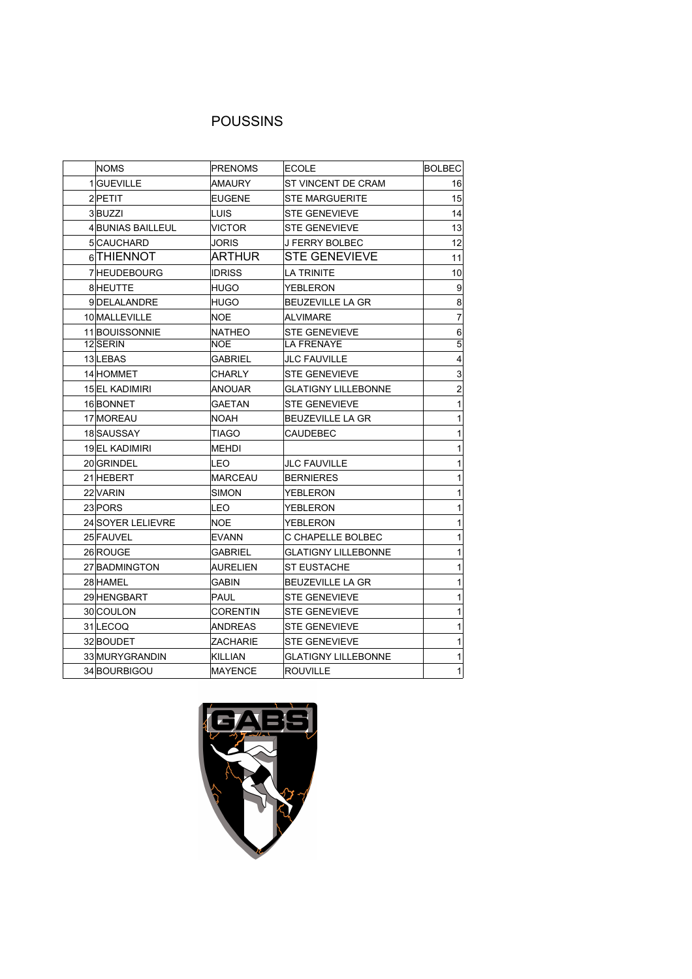### POUSSINS

| <b>NOMS</b>       | <b>PRENOMS</b>          | <b>ECOLE</b>               | <b>BOLBEC</b>   |
|-------------------|-------------------------|----------------------------|-----------------|
| 1GUEVILLE         | <b>AMAURY</b>           | ST VINCENT DE CRAM         | 16              |
| 2 PETIT           | <b>EUGENE</b>           | <b>STE MARGUERITE</b>      | 15              |
| 3BUZZI            | <b>LUIS</b>             | <b>STE GENEVIEVE</b>       | 14              |
| 4 BUNIAS BAILLEUL | <b>VICTOR</b>           | <b>STE GENEVIEVE</b>       | 13              |
| 5 CAUCHARD        | <b>JORIS</b>            | <b>J FERRY BOLBEC</b>      | 12              |
| 6 THIENNOT        | ARTHUR                  | <b>STE GENEVIEVE</b>       | 11              |
| 7 HEUDEBOURG      | <b>IDRISS</b>           | <b>LA TRINITE</b>          | 10              |
| 8 HEUTTE          | <b>HUGO</b>             | <b>YEBLERON</b>            | $\overline{9}$  |
| 9DELALANDRE       | <b>HUGO</b>             | <b>BEUZEVILLE LA GR</b>    | 8               |
| 10 MALLEVILLE     | <b>NOE</b>              | <b>ALVIMARE</b>            | $\overline{7}$  |
| 11 BOUISSONNIE    | <b>NATHEO</b>           | <b>STE GENEVIEVE</b>       | $6 \overline{}$ |
| 12 SERIN          | $\overline{\text{NOE}}$ | <b>LA FRENAYE</b>          | $\overline{5}$  |
| 13 LEBAS          | <b>GABRIEL</b>          | <b>JLC FAUVILLE</b>        | $\overline{4}$  |
| 14 HOMMET         | <b>CHARLY</b>           | <b>STE GENEVIEVE</b>       | $\mathbf{3}$    |
| 15 EL KADIMIRI    | <b>ANOUAR</b>           | <b>GLATIGNY LILLEBONNE</b> | $\overline{2}$  |
| 16BONNET          | <b>GAETAN</b>           | <b>STE GENEVIEVE</b>       | $\mathbf{1}$    |
| 17 MOREAU         | <b>NOAH</b>             | BEUZEVILLE LA GR           | $\mathbf{1}$    |
| 18 SAUSSAY        | <b>TIAGO</b>            | <b>CAUDEBEC</b>            | $\mathbf{1}$    |
| 19EL KADIMIRI     | <b>MEHDI</b>            |                            | $\mathbf{1}$    |
| 20GRINDEL         | <b>LEO</b>              | <b>JLC FAUVILLE</b>        | $\mathbf{1}$    |
| 21 HEBERT         | <b>MARCEAU</b>          | <b>BERNIERES</b>           | $\mathbf{1}$    |
| 22 VARIN          | <b>SIMON</b>            | YEBLERON                   | $\mathbf{1}$    |
| 23 PORS           | <b>LEO</b>              | YEBLERON                   | $\mathbf{1}$    |
| 24 SOYER LELIEVRE | NOE                     | YEBLERON                   | $\mathbf{1}$    |
| 25 FAUVEL         | <b>EVANN</b>            | C CHAPELLE BOLBEC          | $\mathbf{1}$    |
| 26 ROUGE          | <b>GABRIEL</b>          | <b>GLATIGNY LILLEBONNE</b> | $\mathbf{1}$    |
| 27 BADMINGTON     | AURELIEN                | <b>ST EUSTACHE</b>         | $\mathbf{1}$    |
| 28 HAMEL          | <b>GABIN</b>            | <b>BEUZEVILLE LA GR</b>    | $\mathbf{1}$    |
| 29 HENGBART       | PAUL                    | <b>STE GENEVIEVE</b>       | $\mathbf{1}$    |
| 30 COULON         | <b>CORENTIN</b>         | <b>STE GENEVIEVE</b>       | $\mathbf{1}$    |
| 31 LECOQ          | ANDREAS                 | <b>STE GENEVIEVE</b>       | 1               |
| 32 BOUDET         | ZACHARIE                | <b>STE GENEVIEVE</b>       | 1               |
| 33 MURYGRANDIN    | KILLIAN                 | <b>GLATIGNY LILLEBONNE</b> | 1               |
| 34 BOURBIGOU      | <b>MAYENCE</b>          | ROUVILLE                   | 1               |

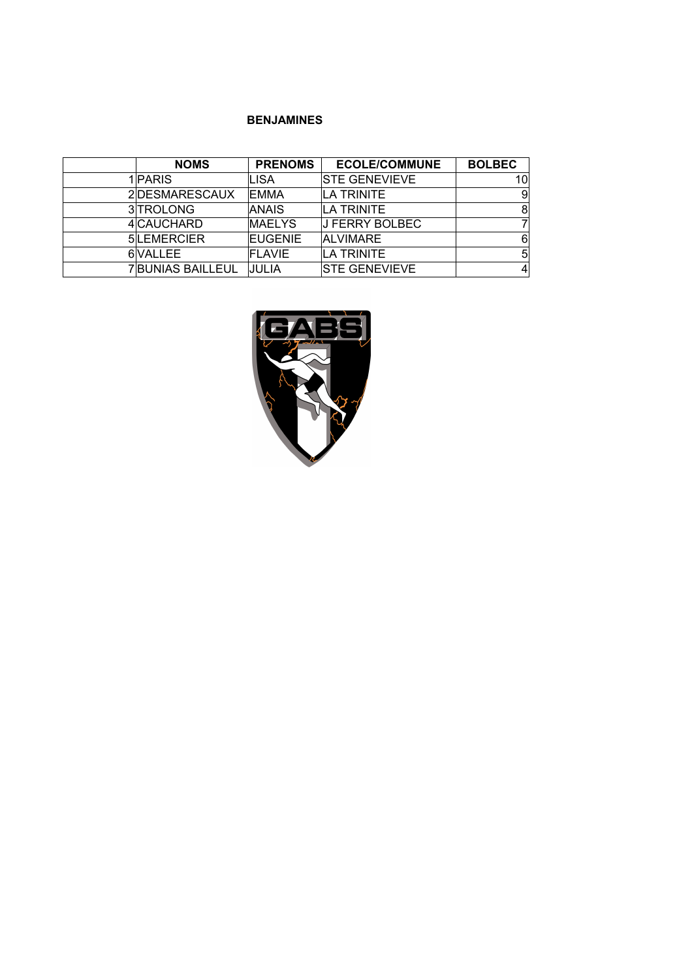#### **BENJAMINES**

| <b>NOMS</b>       | <b>PRENOMS</b> | <b>ECOLE/COMMUNE</b>  | <b>BOLBEC</b> |
|-------------------|----------------|-----------------------|---------------|
| 1 PARIS           | LISA           | <b>STE GENEVIEVE</b>  | 10            |
| 2DESMARESCAUX     | <b>EMMA</b>    | <b>LA TRINITE</b>     | 9             |
| 3TROLONG          | <b>ANAIS</b>   | <b>LA TRINITE</b>     | 8             |
| 4 CAUCHARD        | <b>IMAELYS</b> | <b>J FERRY BOLBEC</b> |               |
| 5LEMERCIER        | <b>EUGENIE</b> | <b>ALVIMARE</b>       | 6             |
| 6 VALLEE          | <b>FLAVIE</b>  | <b>LA TRINITE</b>     | 5             |
| 7 BUNIAS BAILLEUL | JULIA          | <b>ISTE GENEVIEVE</b> | 4             |